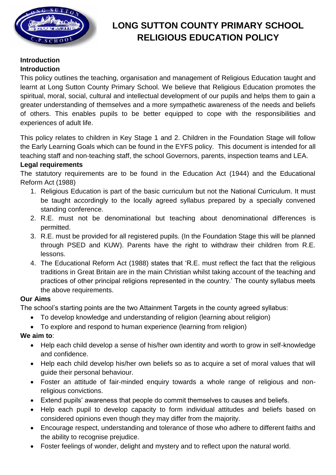

# **LONG SUTTON COUNTY PRIMARY SCHOOL RELIGIOUS EDUCATION POLICY**

#### **Introduction Introduction**

This policy outlines the teaching, organisation and management of Religious Education taught and learnt at Long Sutton County Primary School. We believe that Religious Education promotes the spiritual, moral, social, cultural and intellectual development of our pupils and helps them to gain a greater understanding of themselves and a more sympathetic awareness of the needs and beliefs of others. This enables pupils to be better equipped to cope with the responsibilities and experiences of adult life.

This policy relates to children in Key Stage 1 and 2. Children in the Foundation Stage will follow the Early Learning Goals which can be found in the EYFS policy. This document is intended for all teaching staff and non-teaching staff, the school Governors, parents, inspection teams and LEA.

# **Legal requirements**

The statutory requirements are to be found in the Education Act (1944) and the Educational Reform Act (1988)

- 1. Religious Education is part of the basic curriculum but not the National Curriculum. It must be taught accordingly to the locally agreed syllabus prepared by a specially convened standing conference.
- 2. R.E. must not be denominational but teaching about denominational differences is permitted.
- 3. R.E. must be provided for all registered pupils. (In the Foundation Stage this will be planned through PSED and KUW). Parents have the right to withdraw their children from R.E. lessons.
- 4. The Educational Reform Act (1988) states that 'R.E. must reflect the fact that the religious traditions in Great Britain are in the main Christian whilst taking account of the teaching and practices of other principal religions represented in the country.' The county syllabus meets the above requirements.

# **Our Aims**

The school's starting points are the two Attainment Targets in the county agreed syllabus:

- To develop knowledge and understanding of religion (learning about religion)
- To explore and respond to human experience (learning from religion)

# **We aim to**:

- Help each child develop a sense of his/her own identity and worth to grow in self-knowledge and confidence.
- Help each child develop his/her own beliefs so as to acquire a set of moral values that will guide their personal behaviour.
- Foster an attitude of fair-minded enquiry towards a whole range of religious and nonreligious convictions.
- Extend pupils' awareness that people do commit themselves to causes and beliefs.
- Help each pupil to develop capacity to form individual attitudes and beliefs based on considered opinions even though they may differ from the majority.
- Encourage respect, understanding and tolerance of those who adhere to different faiths and the ability to recognise prejudice.
- Foster feelings of wonder, delight and mystery and to reflect upon the natural world.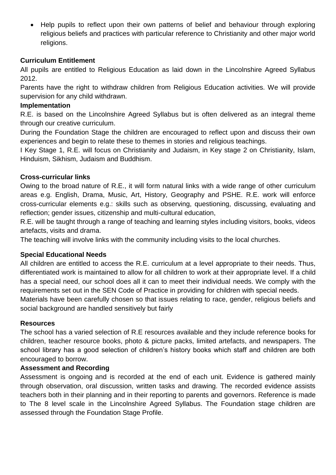• Help pupils to reflect upon their own patterns of belief and behaviour through exploring religious beliefs and practices with particular reference to Christianity and other major world religions.

# **Curriculum Entitlement**

All pupils are entitled to Religious Education as laid down in the Lincolnshire Agreed Syllabus 2012.

Parents have the right to withdraw children from Religious Education activities. We will provide supervision for any child withdrawn.

#### **Implementation**

R.E. is based on the Lincolnshire Agreed Syllabus but is often delivered as an integral theme through our creative curriculum.

During the Foundation Stage the children are encouraged to reflect upon and discuss their own experiences and begin to relate these to themes in stories and religious teachings.

I Key Stage 1, R.E. will focus on Christianity and Judaism, in Key stage 2 on Christianity, Islam, Hinduism, Sikhism, Judaism and Buddhism.

# **Cross-curricular links**

Owing to the broad nature of R.E., it will form natural links with a wide range of other curriculum areas e.g. English, Drama, Music, Art, History, Geography and PSHE. R.E. work will enforce cross-curricular elements e.g.: skills such as observing, questioning, discussing, evaluating and reflection; gender issues, citizenship and multi-cultural education,

R.E. will be taught through a range of teaching and learning styles including visitors, books, videos artefacts, visits and drama.

The teaching will involve links with the community including visits to the local churches.

# **Special Educational Needs**

All children are entitled to access the R.E. curriculum at a level appropriate to their needs. Thus, differentiated work is maintained to allow for all children to work at their appropriate level. If a child has a special need, our school does all it can to meet their individual needs. We comply with the requirements set out in the SEN Code of Practice in providing for children with special needs.

Materials have been carefully chosen so that issues relating to race, gender, religious beliefs and social background are handled sensitively but fairly

# **Resources**

The school has a varied selection of R.E resources available and they include reference books for children, teacher resource books, photo & picture packs, limited artefacts, and newspapers. The school library has a good selection of children's history books which staff and children are both encouraged to borrow.

# **Assessment and Recording**

Assessment is ongoing and is recorded at the end of each unit. Evidence is gathered mainly through observation, oral discussion, written tasks and drawing. The recorded evidence assists teachers both in their planning and in their reporting to parents and governors. Reference is made to The 8 level scale in the Lincolnshire Agreed Syllabus. The Foundation stage children are assessed through the Foundation Stage Profile.